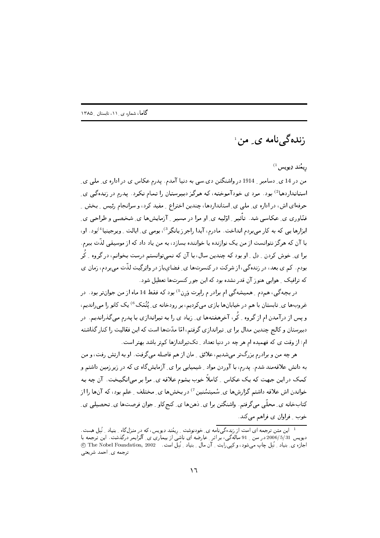زندەگے نامە ي ِ من ا

 $^{(1)}$ ريمُنلر ڍيويس

من در 14 ی ِ دسامبر ِ 1914 در واشنگتن دی سی به دنیا آمدم. پدرم عکاس ی در اداره ی ِ ملی ی ِ استانداردها<sup>2)</sup> بود. مرد ی خودآموخته، که هرگز دبیرستان را تمام نکرد. پدرم در زندهگی ی حرفهای اش، در اداره ی ِ ملی ی ِ استانداردها، چندین اختراع ِ مفید کرد، و سرانجام رئیس ِ بخش ِ فنّاوری ی عکاسی شد. تأثیر ِ اوّلیه ی او مرا در مسیر ِ آزمایشها ی شخصی و طراحی ی ابزارها یبی که به کار می بردم انداخت. مادرم، آیدا راجرز پانگِر<sup>3</sup>)، بومبی ی ِ ایالت ِ ویرجینیا<sup>4)</sup>بود. او، با آن که هرگز نتوانست از من یک نوازنده یا خواننده بسازد، به من یاد داد که از موسیقی لذّت ببرم. برا ی ِ خوش کردن ِ ِ دِل ِ او بود که چندین سال، با آن که نمیتوانستم درست بخوانم، در گروه ِ کُر بودم. کم ی بعد، در زندهگی، از شرکت در کنسرتها ی ِ فضایباز در واتِرگِیت لذّت می بردم، زمان ی که ترافیک \_ هوایی هنوز آن قدر نشده بود که این جور کنسرتها تعطیل شود .

در بیچهگی، همدم ِ همیشهگی ام برادر م رابرت وَرِن<sup>5)</sup> بود که فقط 14 ماه از من جوانتر بود. در غروبها ي ِ تابستان با هم در خيابانها بازي ميكرديم، بر رودخانه ي ِ يُثْمَك <sup>6)</sup> يک کانو را ميرانديم، و پس از درآمدن ام از گروه ِ کُر، آخرهفتهها ی ِ زیاد ی را به تیراندازی با پدرم میگذراندیم. در دبیرستان و کالج چندین مدال برا ی ِ تیراندازی گرفتم، امّا مدّتها است که این فعّالیت را کنار گذاشته ام؛ از وقت ی که فهمیده ام هر چه در دنیا تعداد ت تکتیراندازها کمتر باشد بهتر است.

هر چه من و برادرم بزرگتر می شدیم، علائق ِ مان از هم فاصله میگرفت. او به ارتش رفت، و من به دانش علاقهمند شدم. پدرم، با آوردن مواد ِ شیمیایی برا ی ِ آزمایشگاه ی که در زیرزمین داشتم و کمک در این جهت که یک عکاس ِ کاملاً خوب بشوم علاقه ی ِ مرا بر میانگیخت. آن چه به خواندن اش علاقه داشتم گزارشها ی ِ شمیتسُنین <sup>7)</sup> در بخشها ی ِ مختلف ِ علم بود، که آنها را از کتابخانه ی ِ محلّی میگرفتم. واشنگتن برا ی ِ دهنها ی ِ کنجکاو ِ جوان فرصتها ی ِ تحصیلی ی ِ خوب ِ فراوان ی فراهم می کند.

این متن ترجمه ای است از زندهگی نامه ی ِ خودنوشت ِ ریمُند دِیویس، که در منزل گاه ِ بنیاد ِ نُبل هست. دیویس 2006/5/31 در سن ِ 91 سالهگی، بِّر اثر ِ عارضه ای ناشیِ از بیماری ی ِ آلزایمر درگذشت. این ترجمه با .<br>اجازہ ی ِ بنیاد ِ نُبِل چاپ میشود، و کپیّ ایت ِ آن مال ِ بنیاد ِ نُبلّ است. @60 The Nobel Foundation, 2002 . ترجمه ي ِ احمد شريعتي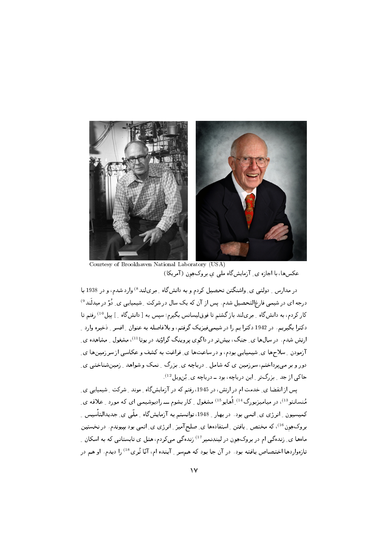

Courtesy of Brookhaven National Laboratory (USA) عکس ها، با اجازه ی ِ آزمایش گاه ملی ی بروک هون (آمریکا)

در مدارس \_ دولتی ی\_ واشنگتن تحصیل کردم و به دانش گاه \_ مِریلند<sup>8)</sup> وارد شدم، و در 1938 با درجه ای در شیمی فارغ|لتحصیل شدم. پس از آن که یک سال در شرکت ِ شیمیایی ی ِ دُوَّ در میدلَند<sup>9)</sup> کار کردم، به دانشگاه \_ مِرىلند باز گشتم تا فوقليسانس بگيرم؛ سيس به [دانشگاه \_] ييل <sup>10)</sup> رفتم تا دکترا بگیریم. در 1942 دکترا یم را در شیمیفیزیک گرفتم، و بلافاصله به عنوان ِ افسرِ ِ ذخیره وارد ِ ارتش شدم. در سالها ی ِ جنگ، بیشتر در داگوی پروینگ گراؤند در یوتا $^{(11)}$ ، مشغول ِ مشاهده ی آزمودن ِ سلاحها ي ِ شيميايي بودم، و در ساعتها ي ِ فراغت به كشف و عكاسي از سرزمينها ي ِ دور و بر میپرداختم، سرزمین ی که شامل ِ دریاچه ی ِ بزرگ ِ نمک و شواهد ِ زمینشناختی ی ِ حاکی از جد - بزرگتر - این دریاچه، بود ـ دریاچه ی ِ بُن ویل <sup>12)</sup>.

یس از انقضا ی ِ خدمت ام در ارتش، در 1945، رفتم که در آزمایشگاه ِ موند ِ شرکت ِ شیمیایی ی ِ مُنسانتو<sup>13</sup>)، در میامیزبورگ<sup>14)</sup> ِ اُهایو<sup>15)</sup> مشغول <sub>-</sub> کار بشوم ـــ رادیوشیمبی ای که مورد <sub>-</sub> علاقه ی ِ کمیسیون ِ انرژی ی ِ اتمی بود. در بهار ِ 1948، توانستم به آزمایش&اه ِ ملّی ی ِ جدیدالتأسیس ِ ِ بروک هِون <sup>16)</sup>، که مختص <sub>-</sub> یافتن <sub>-</sub> استفادهها ی ِ صلح آمیز <sub>-</sub> انرژی ی ِ اتمی بود بییوندم. در نخستین ماهها ی ِ زندهگی ام در بروکِهِون در لیندِنمیر<sup>17)</sup> زندهگی میکردم، هتل ی تابستانی که به اسکان ِ تازهواردها اختصاص یافته بود. در آن جا بود که همسر <sub>-</sub> آینده ام، آنّا تُری<sup>18)</sup> را دیدم. او هم در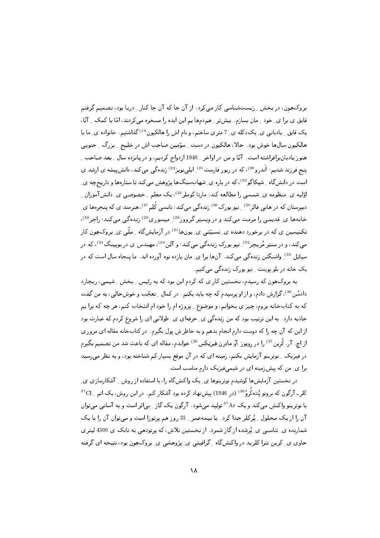بروک هِون، در بخش ِ ِ زیستشناسی کار میکرد. از آن جا که آن جا کنار ِ دریا بود، تصمیم گرفتم قایق ی برا ی ِ خود ِ مان بسازم. بیشتر ِ همدمها یم این ایده را مسخره می کردند، امّا با کمک ِ آنّا، یک قایق ِ بادبانی ی ِ یکدکله ی ِ 7 متری ساختم، و نام اش را هالکیون<sup>19)</sup>گذاشتیم. خانواده ی ِ ما با هالکیون سالها خوش بود . حالا، هالکیون در دست \_ سوّمین صاحب اش در خلیج \_ بزرگ \_ جنوبی هنوز بادبانبرافراشته است. آنّا و من در اواخر <sub>-</sub> 1948 ازدواج کردیم، و در پانزده سال <sub>-</sub> بعد صاحب <sub>-</sub> ینج فرزند شدیم: اَندرو<sup>20)</sup>، که در ریور فارست<sup>21)</sup> ِ ایلی نویز<sup>22)</sup> زنده گی می کند، دانش پیشه ی ارشد ی است در دانش گاه ِ شیکاگو<sup>23)</sup>، که در باره ی ِ شهابِسنگها پژوهش می کند تا ستارهها و تاریخچه ی ِ اؤلیه ی ِ منظومه ی ِ شمسی را مطالعه کند؛ مارتا کوملِر<sup>24)</sup>، یک معلم ِ خصوصی ی ِ دانشآموزان ِ دبیرستان که در هانی فالز<sup>25)</sup> <sub>-</sub> نیو یورک<sup>26)</sup> زندهگی می¢کند؛ نانسی کْلِم<sup>27)</sup>، هنرمند ی که پنجرهها ی ِ خانهها ی ِ قدیمی را مرمت میکند و در وبستِر گرووز<sup>28</sup> ِ میسوری<sup>29</sup> زندهگی می کند؛ راجر<sup>30)</sup>، تکنیسیبن ی که در برخورد دهنده ی ِ نسبیّتمی ی ِ یونِها<sup>31)</sup> در آزمایش&اه ِ ملّمی ی ِ بروکِهِون کار میکند، و در سِنتِر مُریچز<sup>32</sup> ِ نیو یورک زندهگی میکند؛ و آلِن<sup>33)</sup>، مهندس ی در بویینگ<sup>34)</sup>، که در سیاتِل <sup>35</sup> ِ واشنگتن زندهگی میکند. آنها برا ی ِ مان یازده نوه آورده اند. ما پنجاه سال است که در یک خانه در بلو پوینت ِ نیو پورک زندهگی میکنیم.

به بروک هِون که رسیدم، نخستین کار ی که کردم این بود که به رئیس ِ بخش ِ شیمی، ریچارد دادسُن<sup>36</sup>)، گزارش دادم، و از او پرسیدم که چه باید بکنم. در کمال ِ تعجّب و خوشحالیي، به من گفت که به کتابخانه بروم، چیز ی بخوانم، و موضوع ـ پروژه ام را خود ام انتخاب کنم، هر چه که برا پم جاذبه دارد. به این ترتیب بود که من زندهگی ی ِ حرفهای ی ِ طولانی ای را شروع کردم که عبارت بود از این که آن چه را که دوست دارم انجام بدهم و به خاطر ش پول بگیرم. در کتابخانه مقاله ای مروری از اچ. آر. کُرین<sup>37)</sup> را در روپو ز آو مادِرن فیزیکس<sup>38)</sup> خواندم، مقاله ای که باعث شد من تصمیم بگیرم در فیزیک ِ نوترینو آزمایش بکنم، زمینه ای که در آن موقع بسیار کم شناخته بود، و به نظر می رسید برا ی ِ من که پیش زمینه ای در شیمیفیزیک دارم مناسب است.

در نخستین آزمایشها کوشیدم نوترینوها ی ِ یک واکنش§اه را، با استفاده از روش ِ آشکارسازی ی ِ کلر ـ آرگون که برونو یُنتهکُروُ<sup>89)</sup> (در 1946) پیشنهاد کرده بود آشکار کنم. در این روش، یک اتم <sub>-</sub> <sup>37</sup>Cl با نوترینو واکنش می کند و یک <sup>37</sup>Ar تولید می شود . آرگون یک گاز <sub>-</sub> بی اثر است و به آسانبی می توان آن را از یک محلول ِ پُرکلر جدا کرد. با نیمهعمر ِ 35 روز هم پرتوزا است و می توان آن را با یک شمارنده ی ِ تناسبی ی ِ یُرشده از گاز شمرد. از نخستین تلاش، که پرتودهی به تانک ی 4500 لیتری حاوی ی ِ کربن تترا کلرید در واکنشگاه ِ گرافیتی ی ِ پژوهشی ی ِ بروک هِون بود، نتیجه ای گرفته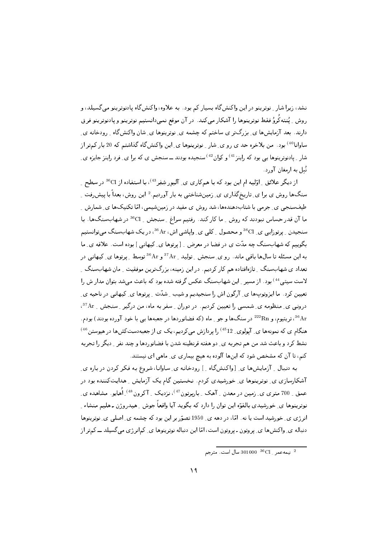نشد، زیرا شار \_ نوترینو در این واکنشگاه بسیار کم بود. به علاوه، واکنشگاه یادنوترینو می گسیلد، و روش ِ یُنتهکُروُ فقط نوترینوها را آشکار میکند. در آن موقع نمیدانستیم نوترینو و پادنوترینو فرق دارند. بعد آزمایشها ی ِ بزرگتر ی ساختم که چشمه ی ِ نوترینوها ی ِ شان واکنشگاه ِ رودخانه ی ِ ساوانا<sup>40)</sup> بود. من بلاخره حد ی رو ی ِ شار ِ نوترینوها ی ِ این واکنشگاه گذاشتم که 20 بار کمتر از شار <sub>-</sub> یادنوترینوها یی بود که راینز<sup>41)</sup> و کوان <sup>42)</sup> سنجیده بودند ـــ سنجش ی که برا ی ِ فرد راینز جایزه ی ِ نُمل به ارمغان آورد.

از دیگر علائق <sub>-</sub> اوّلیه ام این بود که با همکاری ی ِ آلیور شِفِر<sup>43)</sup>، با استفاده از <sup>36</sup>Cl در سطح <sub>-</sub> سنگھا روش ي برا ي ِ تاريخگذاري ي ِ زمينشناختي به بار آورديم. <sup>2</sup> اين روش، بعداً با پيش ِفت ِ طیفسنجی ی ِ جرمی با شتابدهندهها، شد روش ی مفید در زمینشیمی، امّا تکنیکها ی ِ شمارش ِ ما آن قدر حساس نبودند که روش ِ ما کار کند. رفتیم سراغ ِ سنجش ِ <sup>36</sup>Cl در شهابسنگها. با سنجیدن <sub>-</sub> پرتوزایبی ی ِ <sup>36</sup>Cl و محصول <sub>-</sub> کلبی ی ِ وایاشی اش، <sup>36</sup> Ar، در یک شهابسنگ می توانستیم بگوییم که شهابسنگ چه مدّت ی در فضا در معرض ِ [پرتوها ی ِ کیهانی ] بوده است. علاقه ی ِ ما به این مسئله تا سالها باقبی ماند. رو ی ِ سنجش ِ تولید ِ <sup>37</sup> Ar <sup>36</sup> و <sup>36</sup> توسط ِ ِ پرتوها ی ِ کیهانبی در تعداد ی شهابسنگ ِ تازهافتاده هم کار کردیم. در این زمینه، بزرگترین موفقیت ِ مان شهابسنگ ِ لاست سیتی <sup>44)</sup> بود . از مسیر <sub>-</sub> این شهابسنگ عکس گرفته شده بود که باعث میشد بتوان مدار ش را تعیین کرد. ما ایزوتوپھا ی ِ آرگون اش را سنجیدیم و شیب ِ شدّت ِ پرتوها ی ِ کیهانی در ناحیه ی ِ درونی ی ِ منظومه ی ِ شمسی را تعیین کردیم. در دوران ِ سفر به ماه، من درگیر ِ سنجش ِ <sup>37</sup>Ar، <sup>36</sup>Ar. تریتیوم، و <sup>222</sup>Rn در سنگها و جو <sub>-</sub> ماه (که فضانوردها در جعبهها یبی با خود آورده بودند) بودم. هنگام ی که نمونهها ی ِ آپولوی ِ <sup>45</sup>12) را پردازش میکردیم، یک ی ازجعبهدستکشها در هیوستن <sup>46)</sup> نشط کرد و باعث شد من هم تجربه ی ِ دو هفته قرنطینه شدن با فضانوردها و چند نفر ِ دیگر را تجربه کنم، تا آن که مشخص شود که اینها آلوده به هیچ بیماری ی ِ ماهی ای نیستند.

به دنبال <sub>-</sub> آزمایشها ی ِ [واکنشگاه <sub>-</sub> ] رودخانه ی ِ ساوانا، شروع به فکر کردن در باره ی ِ آشکارسازی ی ِ نوترینوها ی ِ خورشیدی کردم. نخستین گام یک آزمایش ِ هدایتکننده بود در عمق \_ 700 متري ي\_ زمين در معدن \_ آهک \_ باربرتون <sup>47</sup>)، نـزديک \_ آکرون <sup>48)</sup>\_ اُهايو. مشاهده ي\_ نوترینوها ی ِ خورشیدی بالقوّه این توان را دارد که بگوید آیا واقعاً جوش ِ هیدروژن ـ هلیم منشاء ِ انرژی ی ِ خورشید است یا نه. امّا، در دهه ی ِ 1950 تصوّر بر این بود که چشمه ی ِ اصلی ی ِ نوترینوها دنباله ی ِ واکنشها ی ِ پروتون ـ پروتون است، امّا این دنباله نوترینوها ی ِ کمانرژی می گسیلد ـــ کمتر از

 $\frac{1}{2}$ نيمه عمر  $1000^{-36}$ Cl سال است. مترجم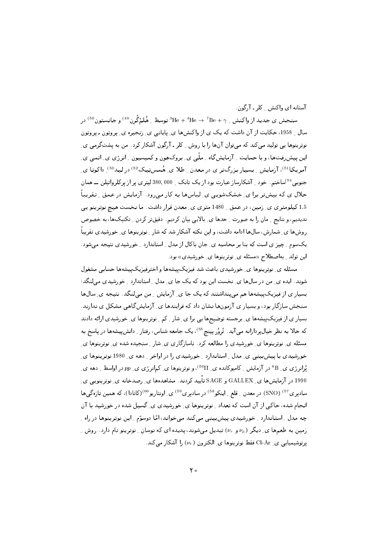آستانه ای واکنش کلر - آرگون.

سنجش ی جدید از واکنش ب $\rm{Be} + \gamma$   $\rm{He} + \rm{He} + \rm{He}$  توسط بِهُلمْگُرن <sup>49)</sup> و جانستون <sup>50)</sup> در سال ِ 1958، حکایت از آن داشت که یک ی از واکنشها ی ِ پایانی ی ِ زنجیره ی ِ پروتون ـ پروتون نوترینوها یی تولید میکند که میتوان آنها را با روش ِ کلر ـ آرگون آشکار کرد. من به پشتگرمی ی ِ این پیش فتھا، و با حمایت ِ آزمایش گاہ ِ ملّی ی ِ بروک ہون و کمیسیون ِ انرژی ی ِ اتمی ی ِ آمریکا <sup>51</sup>)، آزمایش ِ بِسیار بزرگتر ی در معدن ِ طلا ی ِ هُمس تِیک <sup>52)</sup> در لید<sup>53)</sup> ِ داکوتا ی جنوبی <sup>54)</sup>ساختم. خود <sub>-</sub> آشکارساز عبارت بود از یک تانک <sub>-</sub> 380,000 لیتری پر از پرکلرواتیلن ـــ همان حلال ی که بیشتر برا ی ِ خشکشویی ی ِ لباسها به کار می رود. آزمایش در عمق ِ تقریباً 1.5 کیلومتری ی ِ زمین، در عمق ِ 1480 متری ی ِ معدن قرار داشت. ما نخست هیچ نوترینو یپی ندیدیم، و نتایج ِ ِ مان را به صورت ِ حدها ی ِ بالایی بیان کردیم. دقیقتر کردن ِ تکنیکها، به خصوص روشها ی ِ شمارش، سالِها ادامه داشت، و این نکته آشکار شد که شار ِ نوترینوها ی ِ خورشیدی تقریباً یکسوم ِ چیز ی است که بنا بر محاسبه ی ِ جان باکال از مدل ِ استاندارد ِ خورشیدی نتیجه میشود. این تولد \_ بهاصطلاح «مسئله ی\_ نوترینوها ی\_ خورشیدی» بود.

مسئله ی ِ نوترینوها ی ِ خورشیدی باعث شد فیزیک پیشهها و اخترفیزیک پیشهها حسابی مشغول شوند. ایده ی ِ من در سالها ی ِ نخست این بود که یک جا ی ِ مدل ِ استاندارد ِ خورشیدی می لنگد؛ بسیار ی از فیزیک پیشهها هم می پنداشتند که یک جا ی ِ آزمایش ِ مِن می لنگد. نتیجه ی ِ سالها سنجش سازگار بود، و بسیار ی آزمونها نشان داد که فرایندها ی ِ آزمایش گاهی مشکل ی ندارند. بسیار ی از فیزیک پیشهها ی ِ برجسته توضیحها یی برا ی ِ شار \_ کم \_ نوترینوها ی ِ خورشیدی ارائه دادند که حالا به نظر خیالپردازانه میآید. تْروُر پینچ<sup>55)</sup>، یک جامعه شناس، رفتار <sub>-</sub> دانشپیشهها در یاسخ به مسئله ی ِ نوترینوها ی ِ خورشیدی را مطالعه کرد . ناسازگاری ی ِ شار ِ سنجیده شده ی ِ نوترینوها ی ِ خورشیدی با پیش بینی ی ِ مدل ِ استاندارد ِ خورشیدی را در اواخر ِ دهه ی ِ 1980 نوترینوها ی ِ یُرانرژی ی ِ 8 $^8$  در آزمایش ِ کامپوکانده ی ِ <sup>56</sup>II)، و نوترینوها ی ِ کمانرژی ی ِ pp در اواسط ِ دهه ی ِ 1990 در آزمایشها ی ِ GALLEX و SAGE تأیید کردند. مشاهدهها ی ِ رصدخانه ی ِ نوترینویی ی ِ سادبری <sup>57)</sup> (SNO) در معدن <sub>-</sub> قلع <sub>-</sub> اینکو<sup>58)</sup> در سادبری <sup>59)</sup> ی ِ اونتاریو <sup>60)</sup>(کانادا)، که همین تازهگیها انجام شده، حاکمی از آن است که تعداد ِ نوتِرینوها ی ِ خورشیدی ی ِ گسیل شده در خورشید با آن چه مدل ِ استاندارد ِ خورشیدی پیش بینی می کند می خواند، امّا دوسوّم ِ این نوترینوها در راه ِ زمین به طعمها ی ِ دیگر ( $\nu_{\mu}$  و  $\nu_{\mu}$ ) تبدیل می شوند، پدیده ای که نوسان ِ نوترینو نام دارد. روش ِ پرتوشیمیایی ی ِ Cl-Ar فقط نوترینوها ی ِ الکترون ( ve ) را آشکار میکند.